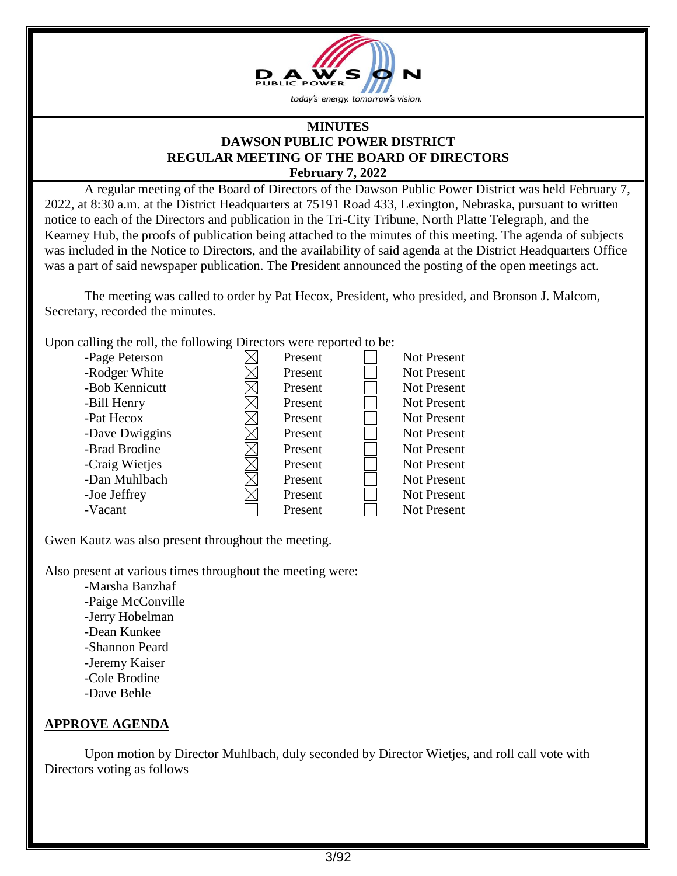

#### **MINUTES DAWSON PUBLIC POWER DISTRICT REGULAR MEETING OF THE BOARD OF DIRECTORS February 7, 2022**

A regular meeting of the Board of Directors of the Dawson Public Power District was held February 7, 2022, at 8:30 a.m. at the District Headquarters at 75191 Road 433, Lexington, Nebraska, pursuant to written notice to each of the Directors and publication in the Tri-City Tribune, North Platte Telegraph, and the Kearney Hub, the proofs of publication being attached to the minutes of this meeting. The agenda of subjects was included in the Notice to Directors, and the availability of said agenda at the District Headquarters Office was a part of said newspaper publication. The President announced the posting of the open meetings act.

The meeting was called to order by Pat Hecox, President, who presided, and Bronson J. Malcom, Secretary, recorded the minutes.

Upon calling the roll, the following Directors were reported to be:

| -Page Peterson | Present | Not Present        |
|----------------|---------|--------------------|
| -Rodger White  | Present | <b>Not Present</b> |
| -Bob Kennicutt | Present | <b>Not Present</b> |
| -Bill Henry    | Present | <b>Not Present</b> |
| -Pat Hecox     | Present | <b>Not Present</b> |
| -Dave Dwiggins | Present | <b>Not Present</b> |
| -Brad Brodine  | Present | <b>Not Present</b> |
| -Craig Wietjes | Present | <b>Not Present</b> |
| -Dan Muhlbach  | Present | <b>Not Present</b> |
| -Joe Jeffrey   | Present | <b>Not Present</b> |
| -Vacant        | Present | Not Present        |

Gwen Kautz was also present throughout the meeting.

Also present at various times throughout the meeting were:

-Marsha Banzhaf -Paige McConville -Jerry Hobelman -Dean Kunkee -Shannon Peard -Jeremy Kaiser -Cole Brodine -Dave Behle

# **APPROVE AGENDA**

Upon motion by Director Muhlbach, duly seconded by Director Wietjes, and roll call vote with Directors voting as follows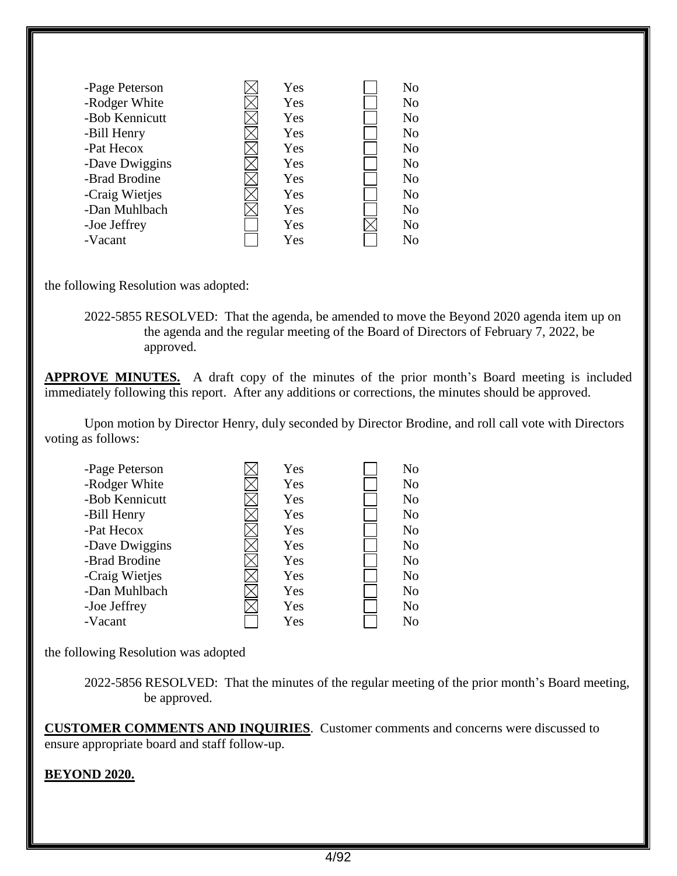| -Page Peterson | Yes | No             |
|----------------|-----|----------------|
| -Rodger White  | Yes | N <sub>o</sub> |
| -Bob Kennicutt | Yes | N <sub>0</sub> |
| -Bill Henry    | Yes | N <sub>0</sub> |
| -Pat Hecox     | Yes | N <sub>o</sub> |
| -Dave Dwiggins | Yes | N <sub>o</sub> |
| -Brad Brodine  | Yes | N <sub>o</sub> |
| -Craig Wietjes | Yes | N <sub>o</sub> |
| -Dan Muhlbach  | Yes | N <sub>o</sub> |
| -Joe Jeffrey   | Yes | N <sub>o</sub> |
| -Vacant        | Yes | No             |

the following Resolution was adopted:

2022-5855 RESOLVED: That the agenda, be amended to move the Beyond 2020 agenda item up on the agenda and the regular meeting of the Board of Directors of February 7, 2022, be approved.

**APPROVE MINUTES.** A draft copy of the minutes of the prior month's Board meeting is included immediately following this report. After any additions or corrections, the minutes should be approved.

Upon motion by Director Henry, duly seconded by Director Brodine, and roll call vote with Directors voting as follows:

| -Page Peterson | Yes | No.            |
|----------------|-----|----------------|
| -Rodger White  | Yes | N <sub>0</sub> |
| -Bob Kennicutt | Yes | N <sub>o</sub> |
| -Bill Henry    | Yes | N <sub>o</sub> |
| -Pat Hecox     | Yes | N <sub>o</sub> |
| -Dave Dwiggins | Yes | N <sub>o</sub> |
| -Brad Brodine  | Yes | N <sub>o</sub> |
| -Craig Wietjes | Yes | N <sub>o</sub> |
| -Dan Muhlbach  | Yes | N <sub>o</sub> |
| -Joe Jeffrey   | Yes | N <sub>o</sub> |
| -Vacant        | Yes | No             |

the following Resolution was adopted

2022-5856 RESOLVED: That the minutes of the regular meeting of the prior month's Board meeting, be approved.

**CUSTOMER COMMENTS AND INQUIRIES**. Customer comments and concerns were discussed to ensure appropriate board and staff follow-up.

### **BEYOND 2020.**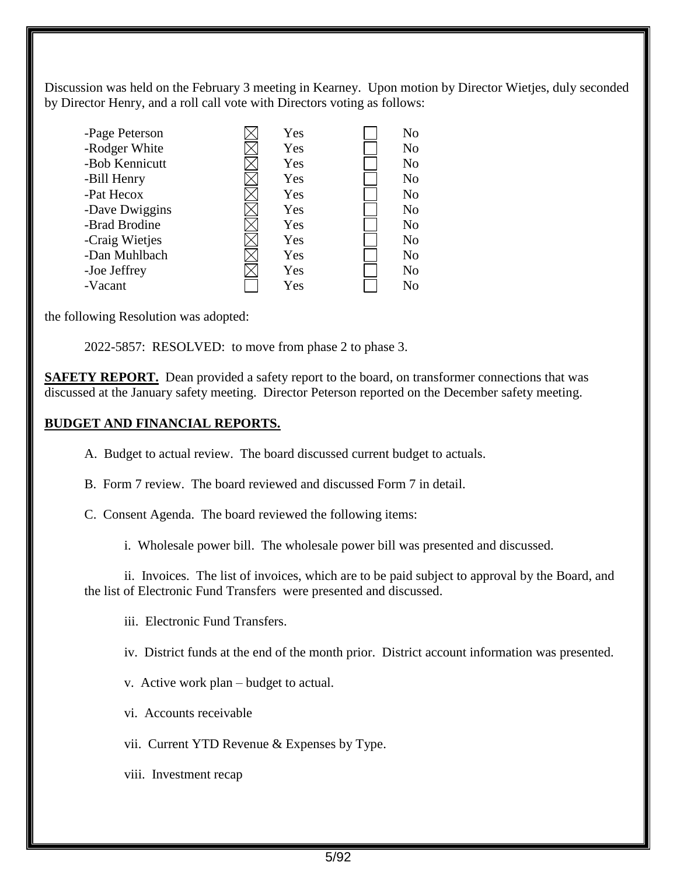Discussion was held on the February 3 meeting in Kearney. Upon motion by Director Wietjes, duly seconded by Director Henry, and a roll call vote with Directors voting as follows:

| -Page Peterson | Yes | N <sub>o</sub> |
|----------------|-----|----------------|
| -Rodger White  | Yes | No             |
| -Bob Kennicutt | Yes | N <sub>o</sub> |
| -Bill Henry    | Yes | N <sub>o</sub> |
| -Pat Hecox     | Yes | N <sub>o</sub> |
| -Dave Dwiggins | Yes | N <sub>o</sub> |
| -Brad Brodine  | Yes | No             |
| -Craig Wietjes | Yes | N <sub>o</sub> |
| -Dan Muhlbach  | Yes | N <sub>o</sub> |
| -Joe Jeffrey   | Yes | No             |
| -Vacant        | Yes | N <sub>o</sub> |

the following Resolution was adopted:

2022-5857: RESOLVED: to move from phase 2 to phase 3.

**SAFETY REPORT.** Dean provided a safety report to the board, on transformer connections that was discussed at the January safety meeting. Director Peterson reported on the December safety meeting.

### **BUDGET AND FINANCIAL REPORTS.**

A. Budget to actual review. The board discussed current budget to actuals.

- B. Form 7 review. The board reviewed and discussed Form 7 in detail.
- C. Consent Agenda. The board reviewed the following items:

i. Wholesale power bill. The wholesale power bill was presented and discussed.

ii. Invoices. The list of invoices, which are to be paid subject to approval by the Board, and the list of Electronic Fund Transfers were presented and discussed.

iii. Electronic Fund Transfers.

iv. District funds at the end of the month prior. District account information was presented.

v. Active work plan – budget to actual.

vi. Accounts receivable

vii. Current YTD Revenue & Expenses by Type.

viii. Investment recap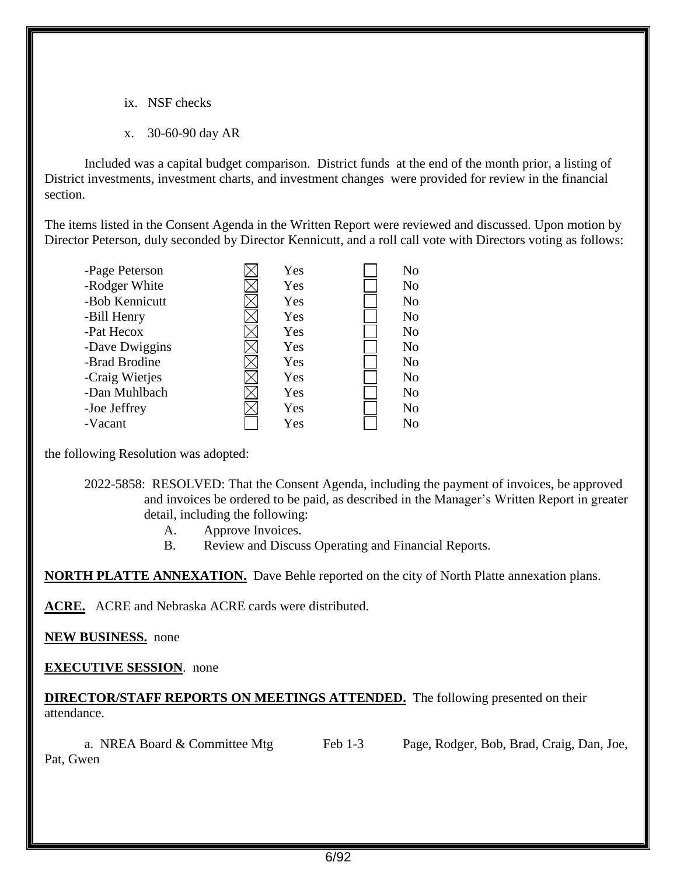- ix. NSF checks
- x. 30-60-90 day AR

Included was a capital budget comparison. District funds at the end of the month prior, a listing of District investments, investment charts, and investment changes were provided for review in the financial section.

The items listed in the Consent Agenda in the Written Report were reviewed and discussed. Upon motion by Director Peterson, duly seconded by Director Kennicutt, and a roll call vote with Directors voting as follows:

| Yes | N <sub>o</sub> |
|-----|----------------|
| Yes | N <sub>o</sub> |
| Yes | N <sub>o</sub> |
| Yes | N <sub>o</sub> |
| Yes | N <sub>o</sub> |
| Yes | N <sub>o</sub> |
| Yes | N <sub>o</sub> |
| Yes | N <sub>o</sub> |
| Yes | N <sub>o</sub> |
| Yes | N <sub>o</sub> |
| Yes | No             |
|     |                |

the following Resolution was adopted:

2022-5858: RESOLVED: That the Consent Agenda, including the payment of invoices, be approved and invoices be ordered to be paid, as described in the Manager's Written Report in greater detail, including the following:

- A. Approve Invoices.
- B. Review and Discuss Operating and Financial Reports.

**NORTH PLATTE ANNEXATION.** Dave Behle reported on the city of North Platte annexation plans.

**ACRE.** ACRE and Nebraska ACRE cards were distributed.

**NEW BUSINESS.** none

**EXECUTIVE SESSION**. none

**DIRECTOR/STAFF REPORTS ON MEETINGS ATTENDED.** The following presented on their attendance.

| a. NREA Board & Committee Mtg | Feb 1-3 | Page, Rodger, Bob, Brad, Craig, Dan, Joe, |
|-------------------------------|---------|-------------------------------------------|
| Pat, Gwen                     |         |                                           |